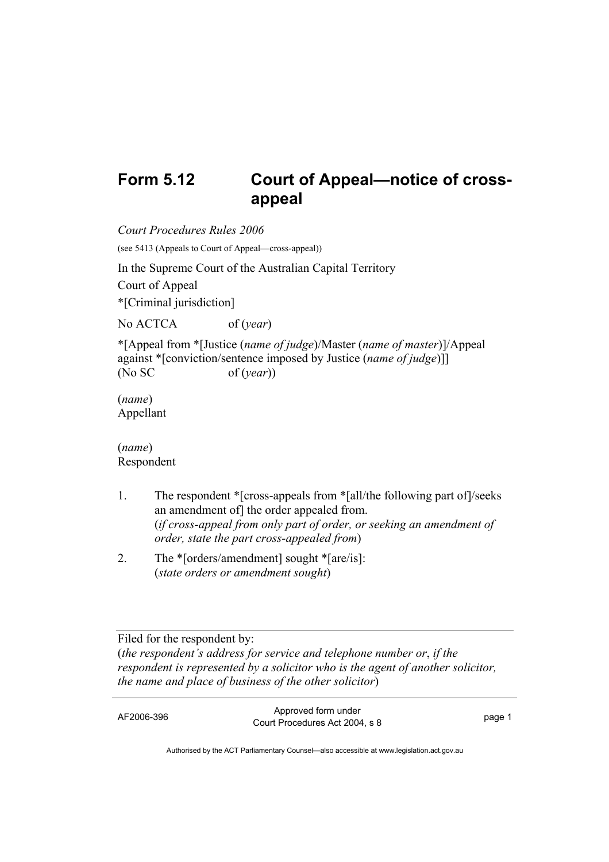## **Form 5.12 Court of Appeal—notice of crossappeal**

*Court Procedures Rules 2006* 

(see 5413 (Appeals to Court of Appeal—cross-appeal))

In the Supreme Court of the Australian Capital Territory Court of Appeal \*[Criminal jurisdiction]

No ACTCA of (*year*)

\*[Appeal from \*[Justice (*name of judge*)/Master (*name of master*)]/Appeal against \*[conviction/sentence imposed by Justice (*name of judge*)]] (No SC of (*year*))

(*name*) Appellant

(*name*) Respondent

- 1. The respondent \*[cross-appeals from \*[all/the following part of]/seeks an amendment of] the order appealed from. (*if cross-appeal from only part of order, or seeking an amendment of order, state the part cross-appealed from*)
- 2. The \*[orders/amendment] sought \*[are/is]: (*state orders or amendment sought*)

Filed for the respondent by: (*the respondent's address for service and telephone number or*, *if the respondent is represented by a solicitor who is the agent of another solicitor, the name and place of business of the other solicitor*)

AF2006-396 Approved form under Procedures Act 2004, s 8 page 1

Authorised by the ACT Parliamentary Counsel—also accessible at www.legislation.act.gov.au